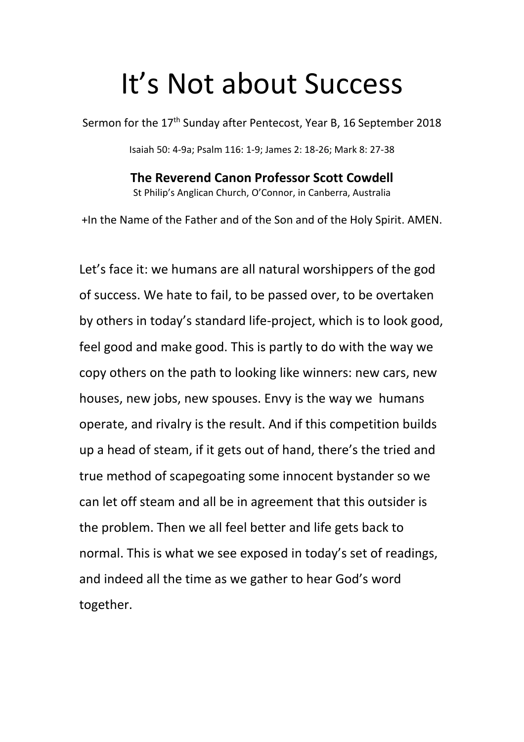## It's Not about Success

Sermon for the 17<sup>th</sup> Sunday after Pentecost, Year B, 16 September 2018

Isaiah 50: 4-9a; Psalm 116: 1-9; James 2: 18-26; Mark 8: 27-38

**The Reverend Canon Professor Scott Cowdell** St Philip's Anglican Church, O'Connor, in Canberra, Australia

+In the Name of the Father and of the Son and of the Holy Spirit. AMEN.

Let's face it: we humans are all natural worshippers of the god of success. We hate to fail, to be passed over, to be overtaken by others in today's standard life-project, which is to look good, feel good and make good. This is partly to do with the way we copy others on the path to looking like winners: new cars, new houses, new jobs, new spouses. Envy is the way we humans operate, and rivalry is the result. And if this competition builds up a head of steam, if it gets out of hand, there's the tried and true method of scapegoating some innocent bystander so we can let off steam and all be in agreement that this outsider is the problem. Then we all feel better and life gets back to normal. This is what we see exposed in today's set of readings, and indeed all the time as we gather to hear God's word together.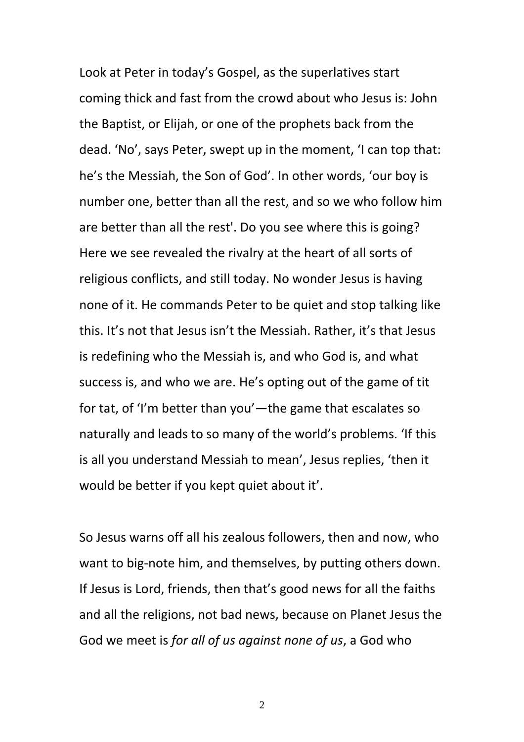Look at Peter in today's Gospel, as the superlatives start coming thick and fast from the crowd about who Jesus is: John the Baptist, or Elijah, or one of the prophets back from the dead. 'No', says Peter, swept up in the moment, 'I can top that: he's the Messiah, the Son of God'. In other words, 'our boy is number one, better than all the rest, and so we who follow him are better than all the rest'. Do you see where this is going? Here we see revealed the rivalry at the heart of all sorts of religious conflicts, and still today. No wonder Jesus is having none of it. He commands Peter to be quiet and stop talking like this. It's not that Jesus isn't the Messiah. Rather, it's that Jesus is redefining who the Messiah is, and who God is, and what success is, and who we are. He's opting out of the game of tit for tat, of 'I'm better than you'—the game that escalates so naturally and leads to so many of the world's problems. 'If this is all you understand Messiah to mean', Jesus replies, 'then it would be better if you kept quiet about it'.

So Jesus warns off all his zealous followers, then and now, who want to big-note him, and themselves, by putting others down. If Jesus is Lord, friends, then that's good news for all the faiths and all the religions, not bad news, because on Planet Jesus the God we meet is *for all of us against none of us*, a God who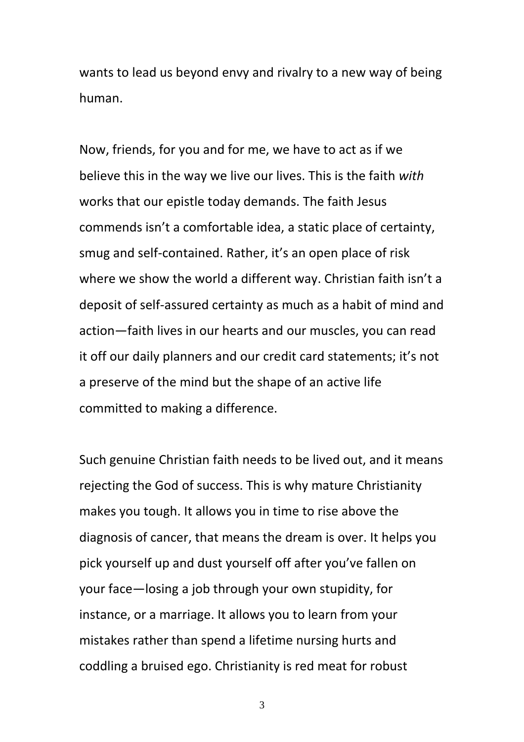wants to lead us beyond envy and rivalry to a new way of being human.

Now, friends, for you and for me, we have to act as if we believe this in the way we live our lives. This is the faith *with* works that our epistle today demands. The faith Jesus commends isn't a comfortable idea, a static place of certainty, smug and self-contained. Rather, it's an open place of risk where we show the world a different way. Christian faith isn't a deposit of self-assured certainty as much as a habit of mind and action—faith lives in our hearts and our muscles, you can read it off our daily planners and our credit card statements; it's not a preserve of the mind but the shape of an active life committed to making a difference.

Such genuine Christian faith needs to be lived out, and it means rejecting the God of success. This is why mature Christianity makes you tough. It allows you in time to rise above the diagnosis of cancer, that means the dream is over. It helps you pick yourself up and dust yourself off after you've fallen on your face—losing a job through your own stupidity, for instance, or a marriage. It allows you to learn from your mistakes rather than spend a lifetime nursing hurts and coddling a bruised ego. Christianity is red meat for robust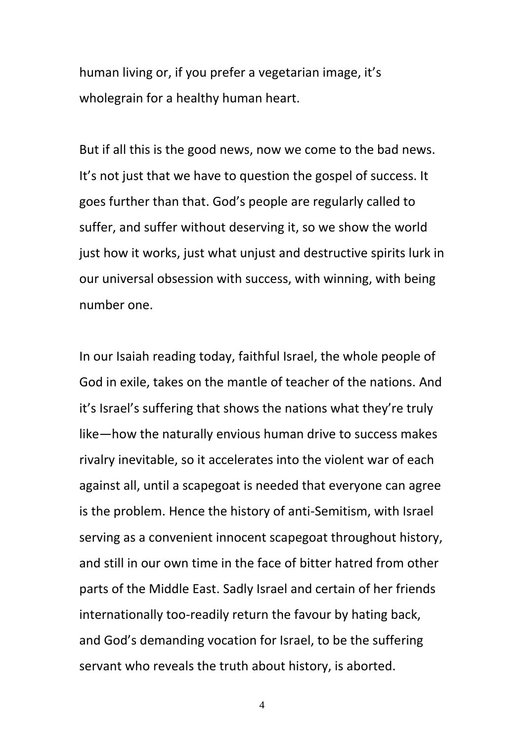human living or, if you prefer a vegetarian image, it's wholegrain for a healthy human heart.

But if all this is the good news, now we come to the bad news. It's not just that we have to question the gospel of success. It goes further than that. God's people are regularly called to suffer, and suffer without deserving it, so we show the world just how it works, just what unjust and destructive spirits lurk in our universal obsession with success, with winning, with being number one.

In our Isaiah reading today, faithful Israel, the whole people of God in exile, takes on the mantle of teacher of the nations. And it's Israel's suffering that shows the nations what they're truly like—how the naturally envious human drive to success makes rivalry inevitable, so it accelerates into the violent war of each against all, until a scapegoat is needed that everyone can agree is the problem. Hence the history of anti-Semitism, with Israel serving as a convenient innocent scapegoat throughout history, and still in our own time in the face of bitter hatred from other parts of the Middle East. Sadly Israel and certain of her friends internationally too-readily return the favour by hating back, and God's demanding vocation for Israel, to be the suffering servant who reveals the truth about history, is aborted.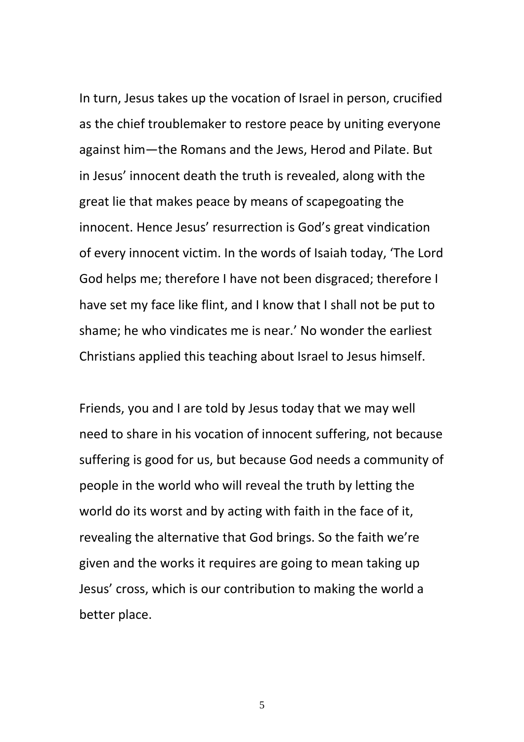In turn, Jesus takes up the vocation of Israel in person, crucified as the chief troublemaker to restore peace by uniting everyone against him—the Romans and the Jews, Herod and Pilate. But in Jesus' innocent death the truth is revealed, along with the great lie that makes peace by means of scapegoating the innocent. Hence Jesus' resurrection is God's great vindication of every innocent victim. In the words of Isaiah today, 'The Lord God helps me; therefore I have not been disgraced; therefore I have set my face like flint, and I know that I shall not be put to shame; he who vindicates me is near.' No wonder the earliest Christians applied this teaching about Israel to Jesus himself.

Friends, you and I are told by Jesus today that we may well need to share in his vocation of innocent suffering, not because suffering is good for us, but because God needs a community of people in the world who will reveal the truth by letting the world do its worst and by acting with faith in the face of it, revealing the alternative that God brings. So the faith we're given and the works it requires are going to mean taking up Jesus' cross, which is our contribution to making the world a better place.